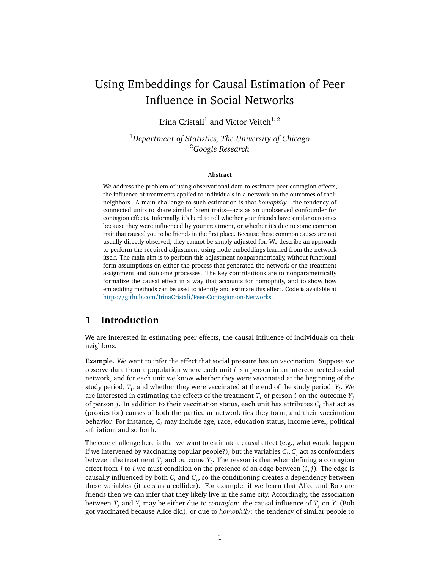# Using Embeddings for Causal Estimation of Peer Influence in Social Networks

Irina Cristali $^1$  and Victor Veitch $^{1,\,2}$ 

<sup>1</sup>*Department of Statistics, The University of Chicago* <sup>2</sup>*Google Research*

#### **Abstract**

We address the problem of using observational data to estimate peer contagion effects, the influence of treatments applied to individuals in a network on the outcomes of their neighbors. A main challenge to such estimation is that *homophily*—the tendency of connected units to share similar latent traits—acts as an unobserved confounder for contagion effects. Informally, it's hard to tell whether your friends have similar outcomes because they were influenced by your treatment, or whether it's due to some common trait that caused you to be friends in the first place. Because these common causes are not usually directly observed, they cannot be simply adjusted for. We describe an approach to perform the required adjustment using node embeddings learned from the network itself. The main aim is to perform this adjustment nonparametrically, without functional form assumptions on either the process that generated the network or the treatment assignment and outcome processes. The key contributions are to nonparametrically formalize the causal effect in a way that accounts for homophily, and to show how embedding methods can be used to identify and estimate this effect. Code is available at https://github.com/IrinaCristali/[Peer-Contagion-on-Networks.](https://github.com/IrinaCristali/Peer-Contagion-on-Networks)

## <span id="page-0-0"></span>**1 Introduction**

We are interested in estimating peer effects, the causal influence of individuals on their neighbors.

**Example.** We want to infer the effect that social pressure has on vaccination. Suppose we observe data from a population where each unit *i* is a person in an interconnected social network, and for each unit we know whether they were vaccinated at the beginning of the study period,  $T_i$ , and whether they were vaccinated at the end of the study period,  $Y_i$ . We are interested in estimating the effects of the treatment  $T_i$  of person *i* on the outcome  $Y_i$ of person *j*. In addition to their vaccination status, each unit has attributes *C<sup>i</sup>* that act as (proxies for) causes of both the particular network ties they form, and their vaccination behavior. For instance, *C<sup>i</sup>* may include age, race, education status, income level, political affiliation, and so forth.

The core challenge here is that we want to estimate a causal effect (e.g., what would happen if we intervened by vaccinating popular people?), but the variables *C<sup>i</sup>* , *C<sup>j</sup>* act as confounders between the treatment *T<sup>j</sup>* and outcome *Y<sup>i</sup>* . The reason is that when defining a contagion effect from *j* to *i* we must condition on the presence of an edge between (*i*, *j*). The edge is causally influenced by both *C<sup>i</sup>* and *C<sup>j</sup>* , so the conditioning creates a dependency between these variables (it acts as a collider). For example, if we learn that Alice and Bob are friends then we can infer that they likely live in the same city. Accordingly, the association between *T<sup>j</sup>* and *Y<sup>i</sup>* may be either due to *contagion*: the causal influence of *T<sup>j</sup>* on *Y<sup>i</sup>* (Bob got vaccinated because Alice did), or due to *homophily*: the tendency of similar people to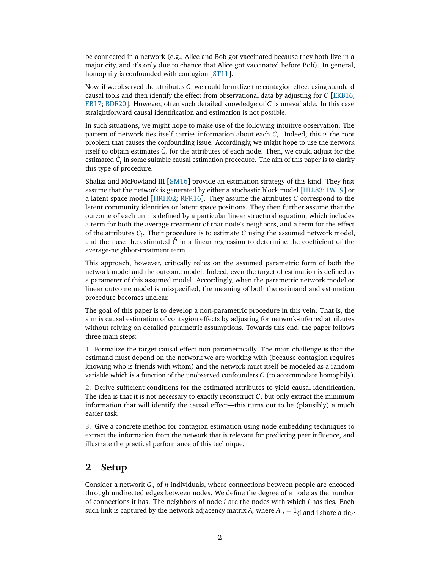be connected in a network (e.g., Alice and Bob got vaccinated because they both live in a major city, and it's only due to chance that Alice got vaccinated before Bob). In general, homophily is confounded with contagion [[ST11](#page-12-0)].

Now, if we observed the attributes *C*, we could formalize the contagion effect using standard causal tools and then identify the effect from observational data by adjusting for *C* [[EKB16;](#page-11-0) [EB17;](#page-11-1) [BDF20](#page-11-2)]. However, often such detailed knowledge of *C* is unavailable. In this case straightforward causal identification and estimation is not possible.

In such situations, we might hope to make use of the following intuitive observation. The pattern of network ties itself carries information about each *C<sup>i</sup>* . Indeed, this is the root problem that causes the confounding issue. Accordingly, we might hope to use the network itself to obtain estimates  $\hat{C}_i$  for the attributes of each node. Then, we could adjust for the estimated  $\hat{c}_i$  in some suitable causal estimation procedure. The aim of this paper is to clarify this type of procedure.

Shalizi and McFowland III [[SM16](#page-12-1)] provide an estimation strategy of this kind. They first assume that the network is generated by either a stochastic block model [[HLL83;](#page-11-3) [LW19](#page-11-4)] or a latent space model [[HRH02;](#page-11-5) [RFR16](#page-12-2)]. They assume the attributes *C* correspond to the latent community identities or latent space positions. They then further assume that the outcome of each unit is defined by a particular linear structural equation, which includes a term for both the average treatment of that node's neighbors, and a term for the effect of the attributes *C<sup>i</sup>* . Their procedure is to estimate *C* using the assumed network model, and then use the estimated  $\hat{C}$  in a linear regression to determine the coefficient of the average-neighbor-treatment term.

This approach, however, critically relies on the assumed parametric form of both the network model and the outcome model. Indeed, even the target of estimation is defined as a parameter of this assumed model. Accordingly, when the parametric network model or linear outcome model is misspecified, the meaning of both the estimand and estimation procedure becomes unclear.

The goal of this paper is to develop a non-parametric procedure in this vein. That is, the aim is causal estimation of contagion effects by adjusting for network-inferred attributes without relying on detailed parametric assumptions. Towards this end, the paper follows three main steps:

1. Formalize the target causal effect non-parametrically. The main challenge is that the estimand must depend on the network we are working with (because contagion requires knowing who is friends with whom) and the network must itself be modeled as a random variable which is a function of the unobserved confounders *C* (to accommodate homophily).

2. Derive sufficient conditions for the estimated attributes to yield causal identification. The idea is that it is not necessary to exactly reconstruct  $C$ , but only extract the minimum information that will identify the causal effect—this turns out to be (plausibly) a much easier task.

3. Give a concrete method for contagion estimation using node embedding techniques to extract the information from the network that is relevant for predicting peer influence, and illustrate the practical performance of this technique.

## **2 Setup**

Consider a network *G<sup>n</sup>* of *n* individuals, where connections between people are encoded through undirected edges between nodes. We define the degree of a node as the number of connections it has. The neighbors of node *i* are the nodes with which *i* has ties. Each such link is captured by the network adjacency matrix *A*, where  $A_{ij} = 1_{\{i \text{ and } j \text{ share a tie}\}}.$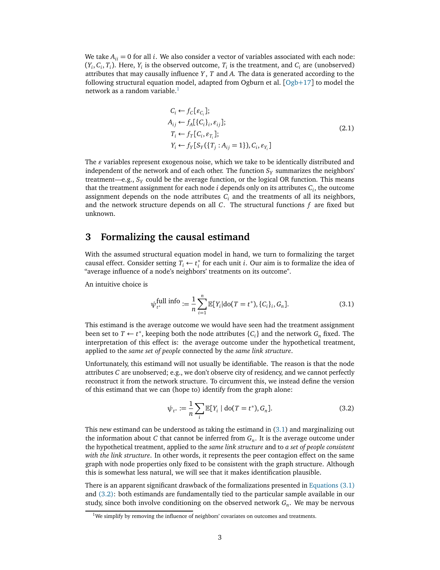<span id="page-2-4"></span>We take  $A_{ii} = 0$  for all *i*. We also consider a vector of variables associated with each node:  $(Y_i, C_i, T_i)$ . Here,  $Y_i$  is the observed outcome,  $T_i$  is the treatment, and  $C_i$  are (unobserved) attributes that may causally influence *Y* , *T* and *A*. The data is generated according to the following structural equation model, adapted from [Ogb](#page-12-3)urn et al.  $[Ogb+17]$  to model the network as a random variable. $<sup>1</sup>$  $<sup>1</sup>$  $<sup>1</sup>$ </sup>

$$
C_i \leftarrow f_C[\varepsilon_{C_i}];
$$
  
\n
$$
A_{ij} \leftarrow f_A[\{C_i\}_i, \varepsilon_{ij}];
$$
  
\n
$$
T_i \leftarrow f_T[C_i, \varepsilon_{T_i}];
$$
  
\n
$$
Y_i \leftarrow f_Y[S_Y(\{T_j : A_{ij} = 1\}), C_i, \varepsilon_{Y_i}]
$$
\n(2.1)

The *ϵ* variables represent exogenous noise, which we take to be identically distributed and independent of the network and of each other. The function  $S_Y$  summarizes the neighbors' treatment—e.g., *S<sup>Y</sup>* could be the average function, or the logical OR function. This means that the treatment assignment for each node *i* depends only on its attributes *C<sup>i</sup>* , the outcome assignment depends on the node attributes  $C_i$  and the treatments of all its neighbors, and the network structure depends on all *C*. The structural functions *f* are fixed but unknown.

## <span id="page-2-3"></span>**3 Formalizing the causal estimand**

With the assumed structural equation model in hand, we turn to formalizing the target causal effect. Consider setting  $\tilde{T}_i \leftarrow t_i^*$ *i* for each unit *i*. Our aim is to formalize the idea of "average influence of a node's neighbors' treatments on its outcome".

An intuitive choice is

<span id="page-2-1"></span>
$$
\psi_{t^*}^{\text{full info}} := \frac{1}{n} \sum_{i=1}^n \mathbb{E}[Y_i | \text{do}(T = t^*), \{C_i\}_i, G_n]. \tag{3.1}
$$

This estimand is the average outcome we would have seen had the treatment assignment been set to  $T \leftarrow t^*$ , keeping both the node attributes  $\{C_i\}$  and the network  $G_n$  fixed. The interpretation of this effect is: the average outcome under the hypothetical treatment, applied to the *same set of people* connected by the *same link structure*.

Unfortunately, this estimand will not usually be identifiable. The reason is that the node attributes *C* are unobserved; e.g., we don't observe city of residency, and we cannot perfectly reconstruct it from the network structure. To circumvent this, we instead define the version of this estimand that we can (hope to) identify from the graph alone:

<span id="page-2-2"></span>
$$
\psi_{t^*} := \frac{1}{n} \sum_i \mathbb{E}[Y_i \mid \text{do}(T = t^*), G_n]. \tag{3.2}
$$

This new estimand can be understood as taking the estimand in [\(3.1\)](#page-2-1) and marginalizing out the information about *C* that cannot be inferred from *G<sup>n</sup>* . It is the average outcome under the hypothetical treatment, applied to the *same link structure* and to *a set of people consistent with the link structure*. In other words, it represents the peer contagion effect on the same graph with node properties only fixed to be consistent with the graph structure. Although this is somewhat less natural, we will see that it makes identification plausible.

There is an apparent significant drawback of the formalizations presented in [Equations \(3.1\)](#page-2-1) and [\(3.2\):](#page-2-2) both estimands are fundamentally tied to the particular sample available in our study, since both involve conditioning on the observed network *G<sup>n</sup>* . We may be nervous

<span id="page-2-0"></span> $1$ We simplify by removing the influence of neighbors' covariates on outcomes and treatments.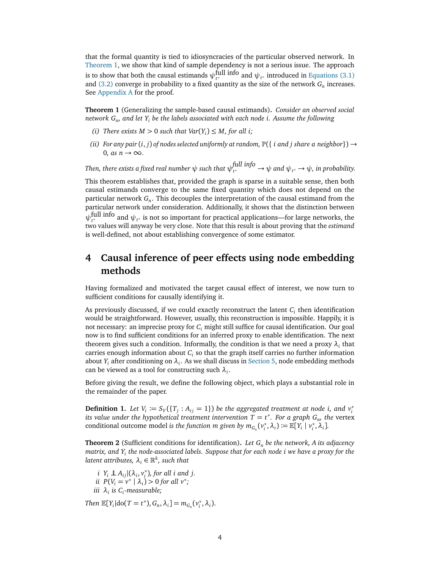that the formal quantity is tied to idiosyncracies of the particular observed network. In [Theorem 1,](#page-3-0) we show that kind of sample dependency is not a serious issue. The approach is to show that both the causal estimands  $\psi_{t^*}^{\text{full info}}$  and  $\psi_{t^*}$  introduced in [Equations \(3.1\)](#page-2-1) and  $(3.2)$  converge in probability to a fixed quantity as the size of the network  $G_n$  increases. See [Appendix A](#page-13-0) for the proof.

<span id="page-3-0"></span>**Theorem 1** (Generalizing the sample-based causal estimands)**.** *Consider an observed social network G<sup>n</sup> , and let Y<sup>i</sup> be the labels associated with each node i. Assume the following*

- *(i) There exists*  $M > 0$  *such that Var* $(Y_i) \leq M$ *, for all i;*
- *(ii) For any pair*  $(i, j)$  *of nodes selected uniformly at random,*  $\mathbb{P}({i \text{ and } j \text{ share } a \text{ neighbor}}) \rightarrow$ 0*,* as  $n \rightarrow \infty$ .

*Then, there exists a fixed real number*  $\psi$  *such that*  $\psi_{t^*}^{\text{full info}} \to \psi$  *and*  $\psi_{t^*} \to \psi$ *, in probability.* 

This theorem establishes that, provided the graph is sparse in a suitable sense, then both causal estimands converge to the same fixed quantity which does not depend on the particular network *G<sup>n</sup>* . This decouples the interpretation of the causal estimand from the particular network under consideration. Additionally, it shows that the distinction between  $\psi_{t^*}^{\text{full info}}$  and  $\psi_{t^*}$  is not so important for practical applications—for large networks, the two values will anyway be very close. Note that this result is about proving that the *estimand* is well-defined, not about establishing convergence of some estimator.

## **4 Causal inference of peer effects using node embedding methods**

Having formalized and motivated the target causal effect of interest, we now turn to sufficient conditions for causally identifying it.

As previously discussed, if we could exactly reconstruct the latent *C<sup>i</sup>* then identification would be straightforward. However, usually, this reconstruction is impossible. Happily, it is not necessary: an imprecise proxy for *C<sup>i</sup>* might still suffice for causal identification. Our goal now is to find sufficient conditions for an inferred proxy to enable identification. The next theorem gives such a condition. Informally, the condition is that we need a proxy  $\lambda_i$  that carries enough information about *C<sup>i</sup>* so that the graph itself carries no further information about  $Y_i$  after conditioning on  $\lambda_i$ . As we shall discuss in [Section 5,](#page-5-0) node embedding methods can be viewed as a tool for constructing such *λ<sup>i</sup>* .

Before giving the result, we define the following object, which plays a substantial role in the remainder of the paper.

**Definition 1.** Let  $V_i \coloneqq S_Y(\lbrace T_j : A_{ij} = 1 \rbrace)$  be the aggregated treatment at node *i*, and  $v_i^*$ *i its value under the hypothetical treatment intervention*  $T = t^*$ *. For a graph*  $G_n$ *, the vertex* conditional outcome model *is the function m given by*  $m_{G_n}(v_i)$  $\mathcal{L}_i^*, \lambda_i) := \mathbb{E}[Y_i \mid \nu_i^*]$  $i^*$ ,  $\lambda_i$ ].

<span id="page-3-1"></span>**Theorem 2** (Sufficient conditions for identification)**.** *Let G<sup>n</sup> be the network, A its adjacency matrix, and Y<sup>i</sup> the node-associated labels. Suppose that for each node i we have a proxy for the*  $l$ atent attributes,  $\lambda_i \in \mathbb{R}^k$ , such that

*i*  $Y_i$  ⊥  $A_{ij}$ |( $\lambda_i$ ,  $v_i^*$ *i* )*, for all i and j. ii*  $P(V_i = v^* | \lambda_i) > 0$  for all  $v^*$ ; *iii λ<sup>i</sup> is C<sup>i</sup> -measurable;*

*Then*  $\mathbb{E}[Y_i | \text{do}(T = t^*), G_n, \lambda_i] = m_{G_n}(v_i^*)$  $i^*$ ,  $\lambda_i$ ).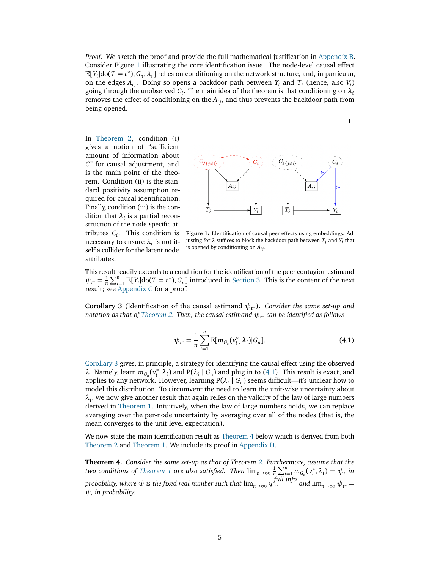*Proof.* We sketch the proof and provide the full mathematical justification in [Appendix B.](#page-14-0) Consider Figure [1](#page-4-0) illustrating the core identification issue. The node-level causal effect  $\mathbb{E}[Y_i | \text{do}(T = t^*), G_n, \lambda_i]$  relies on conditioning on the network structure, and, in particular, on the edges  $A_{ij}$ . Doing so opens a backdoor path between  $Y_i$  and  $T_j$  (hence, also  $V_i$ ) going through the unobserved  $C_i$ . The main idea of the theorem is that conditioning on  $\lambda_i$ removes the effect of conditioning on the  $A_{ij}$ , and thus prevents the backdoor path from being opened.

In [Theorem 2,](#page-3-1) condition (i) gives a notion of "sufficient amount of information about *C*" for causal adjustment, and is the main point of the theorem. Condition (ii) is the standard positivity assumption required for causal identification. Finally, condition (iii) is the condition that  $\lambda_i$  is a partial reconstruction of the node-specific attributes *C<sup>i</sup>* . This condition is necessary to ensure  $\lambda_i$  is not itself a collider for the latent node attributes.



<span id="page-4-0"></span>**Figure 1:** Identification of causal peer effects using embeddings. Adjusting for *λ* suffices to block the backdoor path between *T<sup>j</sup>* and *Y<sup>i</sup>* that is opened by conditioning on  $A_{ij}$ .

This result readily extends to a condition for the identification of the peer contagion estimand  $\psi_{t^*} = \frac{1}{n} \sum_{i=1}^n \mathbb{E}[Y_i] \text{dof}(T = t^*)$ ,  $G_n$  introduced in [Section 3.](#page-2-3) This is the content of the next result; see [Appendix C](#page-14-1) for a proof.

<span id="page-4-2"></span><span id="page-4-1"></span>**Corollary 3** (Identification of the causal estimand  $\psi_{t^*}$ ). *Consider the same set-up and notation as that of [Theorem 2.](#page-3-1) Then, the causal estimand ψ<sup>t</sup>* <sup>∗</sup> *can be identified as follows*

$$
\psi_{t^*} = \frac{1}{n} \sum_{i=1}^n \mathbb{E}[m_{G_n}(v_i^*, \lambda_i)|G_n].
$$
\n(4.1)

[Corollary 3](#page-4-1) gives, in principle, a strategy for identifying the causal effect using the observed *λ*. Namely, learn  $m_{G_n}(v_i^*)$  $\hat{i}$ ,  $\lambda$ <sup>*i*</sup>) and P( $\lambda$ <sup>*i*</sup> | *G*<sub>*n*</sub>) and plug in to [\(4.1\)](#page-4-2). This result is exact, and applies to any network. However, learning  $P(\lambda_i | G_n)$  seems difficult—it's unclear how to model this distribution. To circumvent the need to learn the unit-wise uncertainty about  $\lambda_i$ , we now give another result that again relies on the validity of the law of large numbers derived in [Theorem 1.](#page-3-0) Intuitively, when the law of large numbers holds, we can replace averaging over the per-node uncertainty by averaging over all of the nodes (that is, the mean converges to the unit-level expectation).

We now state the main identification result as [Theorem 4](#page-4-3) below which is derived from both [Theorem 2](#page-3-1) and [Theorem 1.](#page-3-0) We include its proof in [Appendix D.](#page-15-0)

<span id="page-4-3"></span>**Theorem 4.** *Consider the same set-up as that of Theorem [2.](#page-3-1) Furthermore, assume that the two conditions of [Theorem 1](#page-3-0) are also satisfied. Then*  $\lim_{n\to\infty} \frac{1}{n} \sum_{i=1}^{n} m_{G_n}(v_i)$  $\psi_i^*$ ,  $\lambda_i$ ) =  $\psi$ *, in probability, where*  $\psi$  *is the fixed real number such that*  $\lim_{n\to\infty}\psi^{full}_{t^*}$  *and*  $\lim_{n\to\infty}\psi_{t^*}=$ *ψ, in probability.*

$$
\Box
$$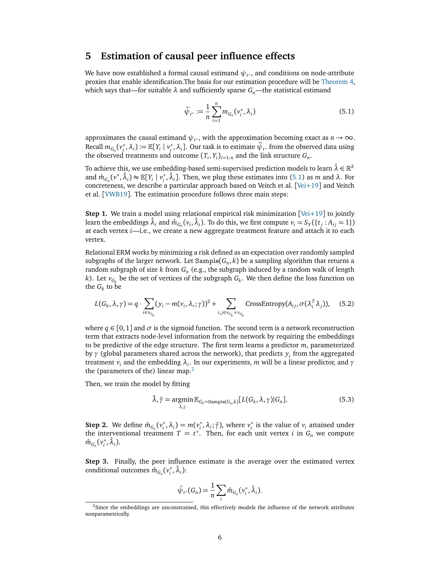## <span id="page-5-0"></span>**5 Estimation of causal peer influence effects**

We have now established a formal causal estimand *ψ<sup>t</sup>* <sup>∗</sup> , and conditions on node-attribute proxies that enable identification.The basis for our estimation procedure will be [Theorem 4,](#page-4-3) which says that—for suitable *λ* and sufficiently sparse *Gn*—the statistical estimand

<span id="page-5-1"></span>
$$
\widetilde{\psi}_{t^*} := \frac{1}{n} \sum_{i=1}^n m_{G_n}(v_i^*, \lambda_i)
$$
\n(5.1)

approximates the causal estimand  $\psi_{t^*}$ , with the approximation becoming exact as  $n \to \infty$ . Recall  $m_{G_n}(v_i^*)$  $\mathcal{L}_i^*, \lambda_i$ ) :=  $\mathbb{E}[Y_i | v_i^*$  $\mathcal{L}_i^*$ ,  $\lambda_i$ ]. Our task is to estimate  $\psi_{t^*}$  from the observed data using the observed treatments and outcome  $(T_i, Y_i)_{i=1:n}$  and the link structure  $G_n$ .

To achieve this, we use embedding-based semi-supervised prediction models to learn  $\hat{\lambda}\in\mathbb{R}^k$ and  $\hat{m}_{G_n}(v^*, \hat{\lambda}_i) \approx \mathbb{E}[Y_i \mid v_i^*$  $\hat{i}$ ,  $\hat{\lambda}_i$ ]. Then, we plug these estimates into [\(5.1\)](#page-5-1) as *m* and  $\lambda$ . For concreteness, we describe a particular approach based on Veitch et al. [[Vei](#page-12-4)+19] and Veitch et al. [[VWB19](#page-12-5)]. The estimation procedure follows three main steps:

**Step 1.** We train a model using relational empirical risk minimization [[Vei](#page-12-4)+19] to jointly learn the embeddings  $\hat{\lambda}_i$  and  $\hat{m}_{G_n}(v_i, \hat{\lambda}_i)$ . To do this, we first compute  $v_i = S_Y(\{t_j : A_{ij} = 1\})$ at each vertex *i*—i.e., we create a new aggregate treatment feature and attach it to each vertex.

Relational ERM works by minimizing a risk defined as an expectation over randomly sampled subgraphs of the larger network. Let  $\texttt{Sample}(G_n, k)$  be a sampling algorithm that returns a random subgraph of size *k* from *G<sup>n</sup>* (e.g., the subgraph induced by a random walk of length *k*). Let  $v_{G_k}$  be the set of vertices of the subgraph  $G_k$ . We then define the loss function on the  $G_k$  to be

$$
L(G_k, \lambda, \gamma) = q \cdot \sum_{i \in v_{G_k}} (y_i - m(v_i, \lambda_i; \gamma))^2 + \sum_{i,j \in v_{G_k} \times v_{G_k}} \text{CrossEntropy}(A_{ij}, \sigma(\lambda_i^T \lambda_j)), \quad (5.2)
$$

where  $q \in [0, 1]$  and  $\sigma$  is the sigmoid function. The second term is a network reconstruction term that extracts node-level information from the network by requiring the embeddings to be predictive of the edge structure. The first term learns a predictor *m*, parameterized by *γ* (global parameters shared across the network), that predicts *y<sup>i</sup>* from the aggregated treatment *v<sup>i</sup>* and the embedding *λ<sup>i</sup>* . In our experiments, *m* will be a linear predictor, and *γ* the (parameters of the) linear map. $<sup>2</sup>$  $<sup>2</sup>$  $<sup>2</sup>$ </sup>

Then, we train the model by fitting

<span id="page-5-3"></span>
$$
\hat{\lambda}, \hat{\gamma} = \underset{\lambda, \gamma}{\text{argmin}} \mathbb{E}_{G_k = \text{Sample}(G_n, k)}[L(G_k, \lambda, \gamma)|G_n]. \tag{5.3}
$$

**Step 2.** We define  $\hat{m}_{G_n}(v_i^*)$  $\lambda_i^*$ ,  $\lambda_i$ ) = *m*( $\nu_i^*$ <sup>\*</sup>,  $\lambda_i$ ;  $\hat{\gamma}$ ), where  $v_i^*$  $i<sub>i</sub>$  is the value of  $v<sub>i</sub>$  attained under the interventional treatment  $T = t^*$ . Then, for each unit vertex *i* in  $G_n$  we compute  $\hat{m}_{G_n}(\nu_i^*)$  $i^*, \hat{\lambda}_i$ ).

**Step 3.** Finally, the peer influence estimate is the average over the estimated vertex conditional outcomes  $\hat{m}_{G_n}(v_i^*)$  $i^*, \hat{\lambda}_i$ ):

$$
\hat{\psi}_{t^*}(G_n) = \frac{1}{n} \sum_i \hat{m}_{G_n}(v_i^*, \hat{\lambda}_i).
$$

<span id="page-5-2"></span> $<sup>2</sup>$ Since the embeddings are unconstrained, this effectively models the influence of the network attributes</sup> nonparametrically.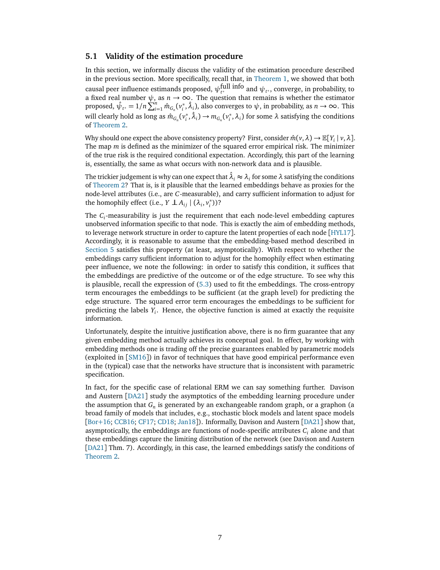#### **5.1 Validity of the estimation procedure**

In this section, we informally discuss the validity of the estimation procedure described in the previous section. More specifically, recall that, in [Theorem 1,](#page-3-0) we showed that both causal peer influence estimands proposed,  $\psi_{t^*}^{\text{full info}}$  and  $\psi_{t^*}$ , converge, in probability, to a fixed real number *ψ*, as *n* → ∞. The question that remains is whether the estimator proposed,  $\hat{\psi}_{t^*} = 1/n \sum_{i=1}^n \hat{m}_{G_n}(v_i^*)$  $\hat{a}_i^*, \hat{\lambda}_i$ ), also converges to  $\psi$ , in probability, as  $n \to \infty$ . This will clearly hold as long as  $\hat{m}_{G_n}(v_i^*)$ <sup>\*</sup>,  $\hat{\lambda}_i$ ) →  $m_{G_n}(v_i^*)$  $\lambda_i^*$ ,  $\lambda_i$ ) for some  $\lambda$  satisfying the conditions of [Theorem 2.](#page-3-1)

Why should one expect the above consistency property? First, consider  $\hat{m}(v, \lambda) \to \mathbb{E}[Y_i | v, \lambda]$ . The map *m* is defined as the minimizer of the squared error empirical risk. The minimizer of the true risk is the required conditional expectation. Accordingly, this part of the learning is, essentially, the same as what occurs with non-network data and is plausible.

The trickier judgement is why can one expect that  $\hat{\lambda}_i\approx\lambda_i$  for some  $\lambda$  satisfying the conditions of [Theorem 2?](#page-3-1) That is, is it plausible that the learned embeddings behave as proxies for the node-level attributes (i.e., are *C*-measurable), and carry sufficient information to adjust for the homophily effect (i.e.,  $Y \perp A_{ij} | (\lambda_i, v_i^*)$ *i* ))?

The *C<sup>i</sup>* -measurability is just the requirement that each node-level embedding captures unobserved information specific to that node. This is exactly the aim of embedding methods, to leverage network structure in order to capture the latent properties of each node [[HYL17](#page-11-6)]. Accordingly, it is reasonable to assume that the embedding-based method described in [Section 5](#page-5-0) satisfies this property (at least, asymptotically). With respect to whether the embeddings carry sufficient information to adjust for the homophily effect when estimating peer influence, we note the following: in order to satisfy this condition, it suffices that the embeddings are predictive of the outcome or of the edge structure. To see why this is plausible, recall the expression of [\(5.3\)](#page-5-3) used to fit the embeddings. The cross-entropy term encourages the embeddings to be sufficient (at the graph level) for predicting the edge structure. The squared error term encourages the embeddings to be sufficient for predicting the labels *Y<sup>i</sup>* . Hence, the objective function is aimed at exactly the requisite information.

Unfortunately, despite the intuitive justification above, there is no firm guarantee that any given embedding method actually achieves its conceptual goal. In effect, by working with embedding methods one is trading off the precise guarantees enabled by parametric models (exploited in [[SM16](#page-12-1)]) in favor of techniques that have good empirical performance even in the (typical) case that the networks have structure that is inconsistent with parametric specification.

In fact, for the specific case of relational ERM we can say something further. Davison and Austern [[DA21](#page-11-7)] study the asymptotics of the embedding learning procedure under the assumption that  $G_n$  is generated by an exchangeable random graph, or a graphon (a broad family of models that includes, e.g., stochastic block models and latent space models [[Bor](#page-11-8)+16; [CCB16;](#page-11-9) [CF17;](#page-11-10) [CD18;](#page-11-11) [Jan18](#page-11-12)]). Informally, Davison and Austern [[DA21](#page-11-7)] show that, asymptotically, the embeddings are functions of node-specific attributes *C<sup>i</sup>* alone and that these embeddings capture the limiting distribution of the network (see Davison and Austern [[DA21](#page-11-7)] Thm. 7). Accordingly, in this case, the learned embeddings satisfy the conditions of [Theorem 2.](#page-3-1)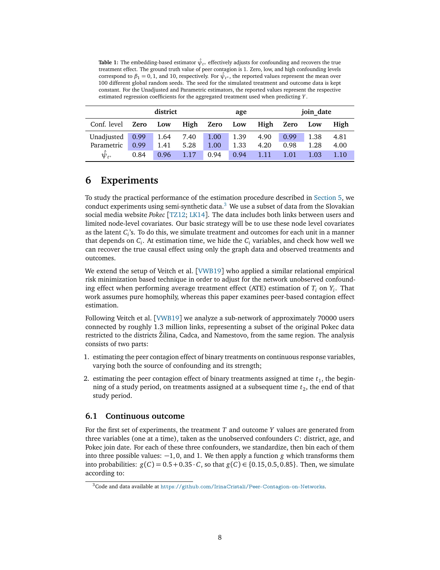<span id="page-7-1"></span>**Table 1:** The embedding-based estimator  $\hat{\psi}_{t^*}$  effectively adjusts for confounding and recovers the true treatment effect. The ground truth value of peer contagion is 1. Zero, low, and high confounding levels correspond to  $\beta_1 = 0, 1$ , and 10, respectively. For  $\hat{\psi}_{t^*}$ , the reported values represent the mean over 100 different global random seeds. The seed for the simulated treatment and outcome data is kept constant. For the Unadjusted and Parametric estimators, the reported values represent the respective estimated regression coefficients for the aggregated treatment used when predicting *Y* .

|                   | district |      |      | age           |      |           | join date |      |      |
|-------------------|----------|------|------|---------------|------|-----------|-----------|------|------|
| Conf. level       | Zero     | Low  |      | High Zero Low |      | High Zero |           | Low  | High |
| Unadjusted 0.99   |          | 1.64 | 7.40 | 1.00          | 1.39 | 4.90      | 0.99      | 1.38 | 4.81 |
| Parametric        | 0.99     | 1.41 | 5.28 | 1.00          | 1.33 | 4.20      | 0.98      | 1.28 | 4.00 |
| $\hat{\psi}_{t*}$ | 0.84     | 0.96 | 1.17 | 0.94          | 0.94 | 1.11      | 1.01      | 1.03 | 1.10 |

## <span id="page-7-3"></span>**6 Experiments**

To study the practical performance of the estimation procedure described in [Section 5,](#page-5-0) we conduct experiments using semi-synthetic data. $3$  We use a subset of data from the Slovakian social media website *Pokec* [[TZ12;](#page-12-6) [LK14](#page-11-13)]. The data includes both links between users and limited node-level covariates. Our basic strategy will be to use these node level covariates as the latent *C*<sub>*i*</sub>'s. To do this, we simulate treatment and outcomes for each unit in a manner that depends on *C<sup>i</sup>* . At estimation time, we hide the *C<sup>i</sup>* variables, and check how well we can recover the true causal effect using only the graph data and observed treatments and outcomes.

We extend the setup of Veitch et al. [[VWB19](#page-12-5)] who applied a similar relational empirical risk minimization based technique in order to adjust for the network unobserved confounding effect when performing average treatment effect (ATE) estimation of *T<sup>i</sup>* on *Y<sup>i</sup>* . That work assumes pure homophily, whereas this paper examines peer-based contagion effect estimation.

Following Veitch et al. [[VWB19](#page-12-5)] we analyze a sub-network of approximately 70000 users connected by roughly 1.3 million links, representing a subset of the original Pokec data restricted to the districts Žilina, Cadca, and Namestovo, from the same region. The analysis consists of two parts:

- 1. estimating the peer contagion effect of binary treatments on continuous response variables, varying both the source of confounding and its strength;
- 2. estimating the peer contagion effect of binary treatments assigned at time  $t_1$ , the beginning of a study period, on treatments assigned at a subsequent time  $t_2$ , the end of that study period.

#### <span id="page-7-2"></span>**6.1 Continuous outcome**

For the first set of experiments, the treatment *T* and outcome *Y* values are generated from three variables (one at a time), taken as the unobserved confounders *C*: district, age, and Pokec join date. For each of these three confounders, we standardize, then bin each of them into three possible values:  $-1, 0$ , and 1. We then apply a function *g* which transforms them into probabilities:  $g(C) = 0.5 + 0.35 \cdot C$ , so that  $g(C) \in \{0.15, 0.5, 0.85\}$ . Then, we simulate according to:

<span id="page-7-0"></span><sup>3</sup>Code and data available at <https://github.com/IrinaCristali/Peer-Contagion-on-Networks>.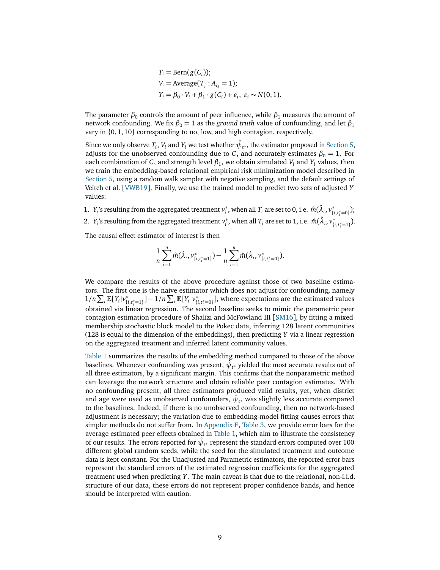$$
T_i = \text{Bern}(g(C_i));
$$
  
\n
$$
V_i = \text{Average}(T_j : A_{ij} = 1);
$$
  
\n
$$
Y_i = \beta_0 \cdot V_i + \beta_1 \cdot g(C_i) + \varepsilon_i, \varepsilon_i \sim N(0, 1).
$$

The parameter  $\beta_0$  controls the amount of peer influence, while  $\beta_1$  measures the amount of network confounding. We fix  $\beta_0 = 1$  as the *ground truth* value of confounding, and let  $\beta_1$ vary in {0, 1, 10} corresponding to no, low, and high contagion, respectively.

Since we only observe  $T_i$ ,  $V_i$  and  $Y_i$  we test whether  $\hat{\psi}_{t^*}$ , the estimator proposed in [Section 5,](#page-5-0) adjusts for the unobserved confounding due to *C*, and accurately estimates  $\beta_0 = 1$ . For each combination of *C*, and strength level  $\beta_1$ , we obtain simulated  $V_i$  and  $Y_i$  values, then we train the embedding-based relational empirical risk minimization model described in [Section 5,](#page-5-0) using a random walk sampler with negative sampling, and the default settings of Veitch et al. [[VWB19](#page-12-5)]. Finally, we use the trained model to predict two sets of adjusted *Y* values:

1.  $Y_i$ 's resulting from the aggregated treatment  $v_i^*$  $\hat{m}$  , when all  $T_i$  are set to 0, i.e.  $\hat{m}(\hat{\lambda}_i, \nu^*_{\{i, t^*_i = 0\}})$ ; 2.  $Y_i$ 's resulting from the aggregated treatment  $v_i^*$  $\hat{m}$  , when all  $T_i$  are set to 1, i.e.  $\hat{m}(\hat{\lambda}_i, v^*_{\{i, t^*_i = 1\}})$ .

The causal effect estimator of interest is then

$$
\frac{1}{n}\sum_{i=1}^n \hat{m}(\hat{\lambda}_i, v_{\{i,t_i^*=1\}}^*) - \frac{1}{n}\sum_{i=1}^n \hat{m}(\hat{\lambda}_i, v_{\{i,t_i^*=0\}}^*).
$$

We compare the results of the above procedure against those of two baseline estimators. The first one is the naive estimator which does not adjust for confounding, namely  $1/n \sum_i \mathbb{E}[Y_i|v_{\{i,t_i^*=1\}}^*] - 1/n \sum_i \mathbb{E}[Y_i|v_{\{i,t_i^*=0\}}^*]$ , where expectations are the estimated values obtained via linear regression. The second baseline seeks to mimic the parametric peer contagion estimation procedure of Shalizi and McFowland III [[SM16](#page-12-1)], by fitting a mixedmembership stochastic block model to the Pokec data, inferring 128 latent communities (128 is equal to the dimension of the embeddings), then predicting *Y* via a linear regression on the aggregated treatment and inferred latent community values.

[Table 1](#page-7-1) summarizes the results of the embedding method compared to those of the above baselines. Whenever confounding was present,  $\hat{\psi}_{t^*}$  yielded the most accurate results out of all three estimators, by a significant margin. This confirms that the nonparametric method can leverage the network structure and obtain reliable peer contagion estimates. With no confounding present, all three estimators produced valid results, yet, when district and age were used as unobserved confounders,  $\hat{\psi}_{t^*}$  was slightly less accurate compared to the baselines. Indeed, if there is no unobserved confounding, then no network-based adjustment is necessary; the variation due to embedding-model fitting causes errors that simpler methods do not suffer from. In [Appendix E,](#page-15-1) [Table 3,](#page-16-0) we provide error bars for the average estimated peer effects obtained in [Table 1,](#page-7-1) which aim to illustrate the consistency of our results. The errors reported for  $\hat{\psi}_{\iota^*}$  represent the standard errors computed over 100 different global random seeds, while the seed for the simulated treatment and outcome data is kept constant. For the Unadjusted and Parametric estimators, the reported error bars represent the standard errors of the estimated regression coefficients for the aggregated treatment used when predicting *Y* . The main caveat is that due to the relational, non-i.i.d. structure of our data, these errors do not represent proper confidence bands, and hence should be interpreted with caution.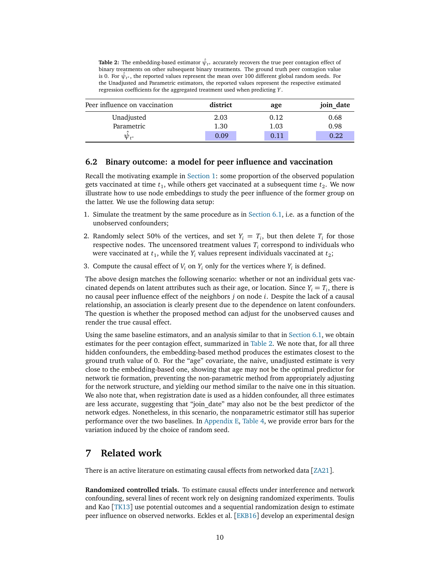<span id="page-9-0"></span>**Table 2:** The embedding-based estimator  $\hat{\psi}_{t^*}$  accurately recovers the true peer contagion effect of binary treatments on other subsequent binary treatments. The ground truth peer contagion value is 0. For  $\hat{\psi}_{t^*}$ , the reported values represent the mean over 100 different global random seeds. For the Unadjusted and Parametric estimators, the reported values represent the respective estimated regression coefficients for the aggregated treatment used when predicting *Y* .

| Peer influence on vaccination | district | age  | join date |  |  |
|-------------------------------|----------|------|-----------|--|--|
| Unadjusted                    | 2.03     | 0.12 | 0.68      |  |  |
| Parametric                    | 1.30     | 1.03 | 0.98      |  |  |
| $\bm{\psi}_{t*}$              | 0.09     | 0.11 | 0.22      |  |  |

#### **6.2 Binary outcome: a model for peer influence and vaccination**

Recall the motivating example in [Section 1:](#page-0-0) some proportion of the observed population gets vaccinated at time  $t_1$ , while others get vaccinated at a subsequent time  $t_2$ . We now illustrate how to use node embeddings to study the peer influence of the former group on the latter. We use the following data setup:

- 1. Simulate the treatment by the same procedure as in [Section 6.1,](#page-7-2) i.e. as a function of the unobserved confounders;
- 2. Randomly select 50% of the vertices, and set  $Y_i = T_i$ , but then delete  $T_i$  for those respective nodes. The uncensored treatment values  $T_i$  correspond to individuals who were vaccinated at  $t_1$ , while the  $Y_i$  values represent individuals vaccinated at  $t_2$ ;
- 3. Compute the causal effect of  $V_i$  on  $Y_i$  only for the vertices where  $Y_i$  is defined.

The above design matches the following scenario: whether or not an individual gets vaccinated depends on latent attributes such as their age, or location. Since  $Y_i = T_i$ , there is no causal peer influence effect of the neighbors *j* on node *i*. Despite the lack of a causal relationship, an association is clearly present due to the dependence on latent confounders. The question is whether the proposed method can adjust for the unobserved causes and render the true causal effect.

Using the same baseline estimators, and an analysis similar to that in [Section 6.1,](#page-7-2) we obtain estimates for the peer contagion effect, summarized in [Table 2.](#page-9-0) We note that, for all three hidden confounders, the embedding-based method produces the estimates closest to the ground truth value of 0. For the "age" covariate, the naive, unadjusted estimate is very close to the embedding-based one, showing that age may not be the optimal predictor for network tie formation, preventing the non-parametric method from appropriately adjusting for the network structure, and yielding our method similar to the naive one in this situation. We also note that, when registration date is used as a hidden confounder, all three estimates are less accurate, suggesting that "join\_date" may also not be the best predictor of the network edges. Nonetheless, in this scenario, the nonparametric estimator still has superior performance over the two baselines. In [Appendix E,](#page-15-1) [Table 4,](#page-16-1) we provide error bars for the variation induced by the choice of random seed.

### **7 Related work**

There is an active literature on estimating causal effects from networked data [[ZA21](#page-12-7)].

**Randomized controlled trials.** To estimate causal effects under interference and network confounding, several lines of recent work rely on designing randomized experiments. Toulis and Kao [[TK13](#page-12-8)] use potential outcomes and a sequential randomization design to estimate peer influence on observed networks. Eckles et al. [[EKB16](#page-11-0)] develop an experimental design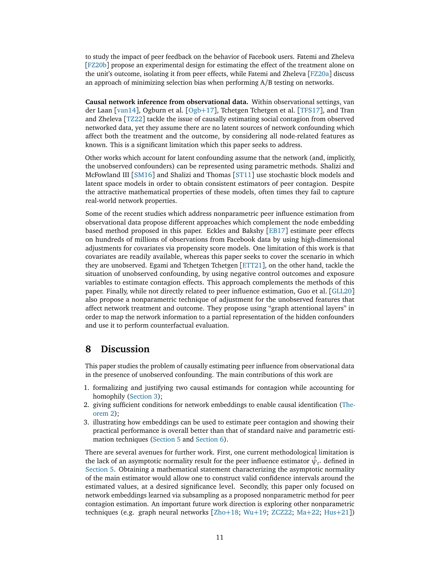to study the impact of peer feedback on the behavior of Facebook users. Fatemi and Zheleva [[FZ20b](#page-11-14)] propose an experimental design for estimating the effect of the treatment alone on the unit's outcome, isolating it from peer effects, while Fatemi and Zheleva [[FZ20a](#page-11-15)] discuss an approach of minimizing selection bias when performing A/B testing on networks.

**Causal network inference from observational data.** Within observational settings, van der Laan [[van14](#page-12-9)], [Ogb](#page-12-3)urn et al. [Ogb+17], Tchetgen Tchetgen et al. [[TFS17](#page-12-10)], and Tran and Zheleva [[TZ22](#page-12-11)] tackle the issue of causally estimating social contagion from observed networked data, yet they assume there are no latent sources of network confounding which affect both the treatment and the outcome, by considering all node-related features as known. This is a significant limitation which this paper seeks to address.

Other works which account for latent confounding assume that the network (and, implicitly, the unobserved confounders) can be represented using parametric methods. Shalizi and McFowland III [[SM16](#page-12-1)] and Shalizi and Thomas [[ST11](#page-12-0)] use stochastic block models and latent space models in order to obtain consistent estimators of peer contagion. Despite the attractive mathematical properties of these models, often times they fail to capture real-world network properties.

Some of the recent studies which address nonparametric peer influence estimation from observational data propose different approaches which complement the node embedding based method proposed in this paper. Eckles and Bakshy [[EB17](#page-11-1)] estimate peer effects on hundreds of millions of observations from Facebook data by using high-dimensional adjustments for covariates via propensity score models. One limitation of this work is that covariates are readily available, whereas this paper seeks to cover the scenario in which they are unobserved. Egami and Tchetgen Tchetgen [[ETT21](#page-11-16)], on the other hand, tackle the situation of unobserved confounding, by using negative control outcomes and exposure variables to estimate contagion effects. This approach complements the methods of this paper. Finally, while not directly related to peer influence estimation, Guo et al. [[GLL20](#page-11-17)] also propose a nonparametric technique of adjustment for the unobserved features that affect network treatment and outcome. They propose using "graph attentional layers" in order to map the network information to a partial representation of the hidden confounders and use it to perform counterfactual evaluation.

### **8 Discussion**

This paper studies the problem of causally estimating peer influence from observational data in the presence of unobserved confounding. The main contributions of this work are

- 1. formalizing and justifying two causal estimands for contagion while accounting for homophily [\(Section 3\)](#page-2-3);
- 2. giving sufficient conditions for network embeddings to enable causal identification [\(The](#page-3-1)[orem 2\)](#page-3-1);
- 3. illustrating how embeddings can be used to estimate peer contagion and showing their practical performance is overall better than that of standard naive and parametric estimation techniques [\(Section 5](#page-5-0) and [Section 6\)](#page-7-3).

There are several avenues for further work. First, one current methodological limitation is the lack of an asymptotic normality result for the peer influence estimator  $\hat{\psi}_{t^*}$  defined in [Section 5.](#page-5-0) Obtaining a mathematical statement characterizing the asymptotic normality of the main estimator would allow one to construct valid confidence intervals around the estimated values, at a desired significance level. Secondly, this paper only focused on network embeddings learned via subsampling as a proposed nonparametric method for peer contagion estimation. An important future work direction is exploring other nonparametric techniques (e.g. graph neural networks [[Zho](#page-12-12)+18; [Wu](#page-12-13)+19; [ZCZ22;](#page-12-14) [Ma](#page-11-18)+22; [Hus](#page-11-19)+21])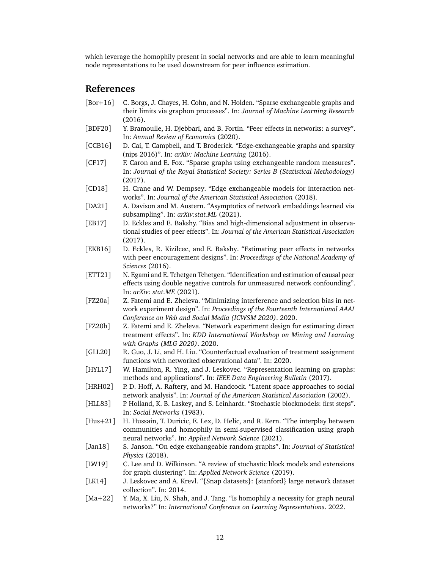which leverage the homophily present in social networks and are able to learn meaningful node representations to be used downstream for peer influence estimation.

## **References**

- <span id="page-11-8"></span>[Bor+16] C. Borgs, J. Chayes, H. Cohn, and N. Holden. "Sparse exchangeable graphs and their limits via graphon processes". In: *Journal of Machine Learning Research* (2016).
- <span id="page-11-2"></span>[BDF20] Y. Bramoulle, H. Djebbari, and B. Fortin. "Peer effects in networks: a survey". In: *Annual Review of Economics* (2020).
- <span id="page-11-9"></span>[CCB16] D. Cai, T. Campbell, and T. Broderick. "Edge-exchangeable graphs and sparsity (nips 2016)". In: *arXiv: Machine Learning* (2016).
- <span id="page-11-10"></span>[CF17] F. Caron and E. Fox. "Sparse graphs using exchangeable random measures". In: *Journal of the Royal Statistical Society: Series B (Statistical Methodology)* (2017).
- <span id="page-11-11"></span>[CD18] H. Crane and W. Dempsey. "Edge exchangeable models for interaction networks". In: *Journal of the American Statistical Association* (2018).
- <span id="page-11-7"></span>[DA21] A. Davison and M. Austern. "Asymptotics of network embeddings learned via subsampling". In: *arXiv:stat.ML* (2021).
- <span id="page-11-1"></span>[EB17] D. Eckles and E. Bakshy. "Bias and high-dimensional adjustment in observational studies of peer effects". In: *Journal of the American Statistical Association* (2017).
- <span id="page-11-0"></span>[EKB16] D. Eckles, R. Kizilcec, and E. Bakshy. "Estimating peer effects in networks with peer encouragement designs". In: *Proceedings of the National Academy of Sciences* (2016).
- <span id="page-11-16"></span>[ETT21] N. Egami and E. Tchetgen Tchetgen. "Identification and estimation of causal peer effects using double negative controls for unmeasured network confounding". In: *arXiv: stat.ME* (2021).
- <span id="page-11-15"></span>[FZ20a] Z. Fatemi and E. Zheleva. "Minimizing interference and selection bias in network experiment design". In: *Proceedings of the Fourteenth International AAAI Conference on Web and Social Media (ICWSM 2020)*. 2020.
- <span id="page-11-14"></span>[FZ20b] Z. Fatemi and E. Zheleva. "Network experiment design for estimating direct treatment effects". In: *KDD International Workshop on Mining and Learning with Graphs (MLG 2020)*. 2020.
- <span id="page-11-17"></span>[GLL20] R. Guo, J. Li, and H. Liu. "Counterfactual evaluation of treatment assignment functions with networked observational data". In: 2020.
- <span id="page-11-6"></span>[HYL17] W. Hamilton, R. Ying, and J. Leskovec. "Representation learning on graphs: methods and applications". In: *IEEE Data Engineering Bulletin* (2017).
- <span id="page-11-5"></span>[HRH02] P. D. Hoff, A. Raftery, and M. Handcock. "Latent space approaches to social network analysis". In: *Journal of the American Statistical Association* (2002).
- <span id="page-11-3"></span>[HLL83] P. Holland, K. B. Laskey, and S. Leinhardt. "Stochastic blockmodels: first steps". In: *Social Networks* (1983).
- <span id="page-11-19"></span>[Hus+21] H. Hussain, T. Duricic, E. Lex, D. Helic, and R. Kern. "The interplay between communities and homophily in semi-supervised classification using graph neural networks". In: *Applied Network Science* (2021).
- <span id="page-11-12"></span>[Jan18] S. Janson. "On edge exchangeable random graphs". In: *Journal of Statistical Physics* (2018).
- <span id="page-11-4"></span>[LW19] C. Lee and D. Wilkinson. "A review of stochastic block models and extensions for graph clustering". In: *Applied Network Science* (2019).
- <span id="page-11-13"></span>[LK14] J. Leskovec and A. Krevl. "{Snap datasets}: {stanford} large network dataset collection". In: 2014.
- <span id="page-11-18"></span>[Ma+22] Y. Ma, X. Liu, N. Shah, and J. Tang. "Is homophily a necessity for graph neural networks?" In: *International Conference on Learning Representations*. 2022.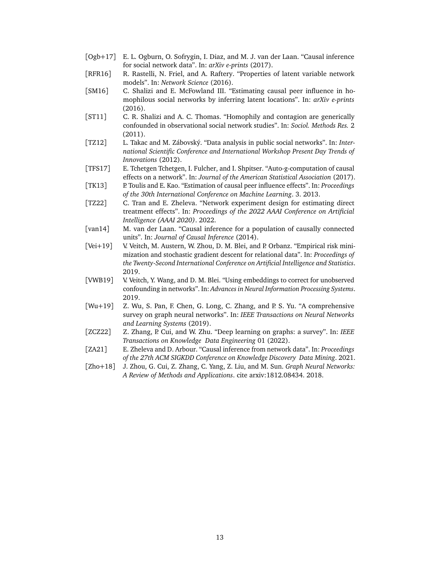- <span id="page-12-3"></span>[Ogb+17] E. L. Ogburn, O. Sofrygin, I. Diaz, and M. J. van der Laan. "Causal inference for social network data". In: *arXiv e-prints* (2017).
- <span id="page-12-2"></span>[RFR16] R. Rastelli, N. Friel, and A. Raftery. "Properties of latent variable network models". In: *Network Science* (2016).
- <span id="page-12-1"></span>[SM16] C. Shalizi and E. McFowland III. "Estimating causal peer influence in homophilous social networks by inferring latent locations". In: *arXiv e-prints* (2016).
- <span id="page-12-0"></span>[ST11] C. R. Shalizi and A. C. Thomas. "Homophily and contagion are generically confounded in observational social network studies". In: *Sociol. Methods Res.* 2 (2011).
- <span id="page-12-6"></span>[TZ12] L. Takac and M. Zábovský. "Data analysis in public social networks". In: *International Scientific Conference and International Workshop Present Day Trends of Innovations* (2012).
- <span id="page-12-10"></span>[TFS17] E. Tchetgen Tchetgen, I. Fulcher, and I. Shpitser. "Auto-g-computation of causal effects on a network". In: *Journal of the American Statistical Association* (2017).
- <span id="page-12-8"></span>[TK13] P. Toulis and E. Kao. "Estimation of causal peer influence effects". In: *Proceedings of the 30th International Conference on Machine Learning*. 3. 2013.
- <span id="page-12-11"></span>[TZ22] C. Tran and E. Zheleva. "Network experiment design for estimating direct treatment effects". In: *Proceedings of the 2022 AAAI Conference on Artificial Intelligence (AAAI 2020)*. 2022.
- <span id="page-12-9"></span>[van14] M. van der Laan. "Causal inference for a population of causally connected units". In: *Journal of Causal Inference* (2014).
- <span id="page-12-4"></span>[Vei+19] V. Veitch, M. Austern, W. Zhou, D. M. Blei, and P. Orbanz. "Empirical risk minimization and stochastic gradient descent for relational data". In: *Proceedings of the Twenty-Second International Conference on Artificial Intelligence and Statistics*. 2019.
- <span id="page-12-5"></span>[VWB19] V. Veitch, Y. Wang, and D. M. Blei. "Using embeddings to correct for unobserved confounding in networks". In: *Advances in Neural Information Processing Systems*. 2019.
- <span id="page-12-13"></span>[Wu+19] Z. Wu, S. Pan, F. Chen, G. Long, C. Zhang, and P. S. Yu. "A comprehensive survey on graph neural networks". In: *IEEE Transactions on Neural Networks and Learning Systems* (2019).
- <span id="page-12-14"></span>[ZCZ22] Z. Zhang, P. Cui, and W. Zhu. "Deep learning on graphs: a survey". In: *IEEE Transactions on Knowledge Data Engineering* 01 (2022).
- <span id="page-12-7"></span>[ZA21] E. Zheleva and D. Arbour. "Causal inference from network data". In: *Proceedings of the 27th ACM SIGKDD Conference on Knowledge Discovery Data Mining*. 2021.
- <span id="page-12-12"></span>[Zho+18] J. Zhou, G. Cui, Z. Zhang, C. Yang, Z. Liu, and M. Sun. *Graph Neural Networks: A Review of Methods and Applications*. cite arxiv:1812.08434. 2018.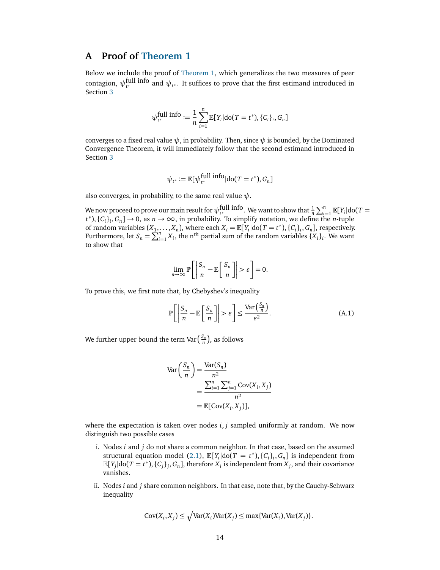## <span id="page-13-0"></span>**A Proof of [Theorem 1](#page-3-0)**

Below we include the proof of [Theorem 1,](#page-3-0) which generalizes the two measures of peer contagion,  $\psi_{t^*}^{\text{full info}}$  and  $\psi_{t^*}$ . It suffices to prove that the first estimand introduced in Section [3](#page-2-3)

$$
\psi_{t^*}^{\text{full info}} := \frac{1}{n} \sum_{i=1}^n \mathbb{E}[Y_i | \text{do}(T = t^*), \{C_i\}_i, G_n]
$$

converges to a fixed real value  $\psi$ , in probability. Then, since  $\psi$  is bounded, by the Dominated Convergence Theorem, it will immediately follow that the second estimand introduced in Section [3](#page-2-3)

$$
\psi_{t^*} := \mathbb{E}[\psi_{t^*}^{\text{full info}} | \text{do}(T = t^*), G_n]
$$

also converges, in probability, to the same real value *ψ*.

We now proceed to prove our main result for  $\psi_{t^*}^{\text{full info}}$ . We want to show that  $\frac{1}{n} \sum_{i=1}^n \mathbb{E}[Y_i] \text{dof } T =$  $t^*$ ),  $\{C_i\}_i$ ,  $G_n$ ]  $\to 0$ , as  $n \to \infty$ , in probability. To simplify notation, we define the *n*-tuple of random variables  $(X_1, \ldots, X_n)$ , where each  $X_i = \mathbb{E}[Y_i] \text{do}(T = t^*)$ ,  $\{C_i\}_i, G_n$ , respectively. Furthermore, let  $S_n = \sum_{i=1}^n X_i$ , the n<sup>th</sup> partial sum of the random variables  $\{X_i\}_i$ . We want to show that

$$
\lim_{n \to \infty} \mathbb{P}\bigg[\bigg|\frac{S_n}{n} - \mathbb{E}\bigg[\frac{S_n}{n}\bigg]\bigg| > \varepsilon\bigg] = 0.
$$

To prove this, we first note that, by Chebyshev's inequality

<span id="page-13-1"></span>
$$
\mathbb{P}\left[\left|\frac{S_n}{n} - \mathbb{E}\left[\frac{S_n}{n}\right]\right| > \varepsilon\right] \le \frac{\text{Var}\left(\frac{S_n}{n}\right)}{\varepsilon^2}.\tag{A.1}
$$

We further upper bound the term Var $\left(\frac{S_n}{n}\right)$ , as follows

$$
\operatorname{Var}\left(\frac{S_n}{n}\right) = \frac{\operatorname{Var}(S_n)}{n^2}
$$

$$
= \frac{\sum_{i=1}^n \sum_{j=1}^n \operatorname{Cov}(X_i, X_j)}{n^2}
$$

$$
= \mathbb{E}[\operatorname{Cov}(X_i, X_j)],
$$

where the expectation is taken over nodes  $i, j$  sampled uniformly at random. We now distinguish two possible cases

- i. Nodes *i* and *j* do not share a common neighbor. In that case, based on the assumed structural equation model [\(2.1\)](#page-2-4),  $\mathbb{E}[Y_i | \text{do}(T = t^*), \{C_i\}_i, G_n]$  is independent from  $\mathbb{E}[Y_j|\text{do}(T = t^*), \{C_j\}_j, G_n]$ , therefore  $X_i$  is independent from  $X_j$ , and their covariance vanishes.
- ii. Nodes *i* and *j* share common neighbors. In that case, note that, by the Cauchy-Schwarz inequality

$$
Cov(X_i, X_j) \le \sqrt{\text{Var}(X_i)\text{Var}(X_j)} \le \max\{\text{Var}(X_i), \text{Var}(X_j)\}.
$$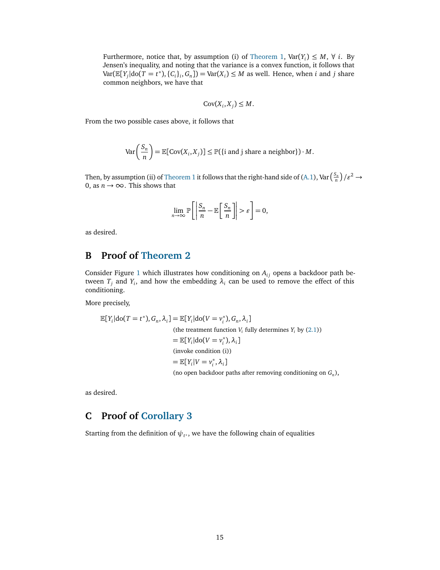Furthermore, notice that, by assumption (i) of [Theorem 1,](#page-3-0)  $Var(Y_i) \leq M$ ,  $\forall$  *i*. By Jensen's inequality, and noting that the variance is a convex function, it follows that  $Var(\mathbb{E}[Y_j|\text{do}(T = t^*), \{C_i\}_i, G_n]) = Var(X_i) \leq M$  as well. Hence, when *i* and *j* share common neighbors, we have that

$$
Cov(X_i, X_j) \leq M.
$$

From the two possible cases above, it follows that

$$
\text{Var}\left(\frac{S_n}{n}\right) = \mathbb{E}[\text{Cov}(X_i, X_j)] \le \mathbb{P}(\{\text{i and } \text{j share a neighbor}\}) \cdot M.
$$

Then, by assumption (ii) of [Theorem 1](#page-3-0) it follows that the right-hand side of [\(A.1\)](#page-13-1),  $\text{Var}\left(\frac{S_n}{n}\right)/\varepsilon^2 \to 0$ 0, as  $n \rightarrow \infty$ . This shows that

$$
\lim_{n \to \infty} \mathbb{P}\bigg[\bigg|\frac{S_n}{n} - \mathbb{E}\bigg[\frac{S_n}{n}\bigg]\bigg| > \varepsilon\bigg] = 0,
$$

as desired.

## <span id="page-14-0"></span>**B Proof of [Theorem 2](#page-3-1)**

Consider Figure [1](#page-4-0) which illustrates how conditioning on  $A_{ij}$  opens a backdoor path between  $T_j$  and  $Y_i$ , and how the embedding  $\lambda_i$  can be used to remove the effect of this conditioning.

More precisely,

$$
\mathbb{E}[Y_i | \text{do}(T = t^*), G_n, \lambda_i] = \mathbb{E}[Y_i | \text{do}(V = v_i^*), G_n, \lambda_i]
$$
\n(the treatment function  $V_i$  fully determines  $Y_i$  by (2.1))

\n
$$
= \mathbb{E}[Y_i | \text{do}(V = v_i^*), \lambda_i]
$$
\n(invoke condition (i))

\n
$$
= \mathbb{E}[Y_i | V = v_i^*, \lambda_i]
$$
\n(no open backdoor paths after removing conditioning on  $G_n$ ),

as desired.

## <span id="page-14-1"></span>**C Proof of [Corollary 3](#page-4-1)**

Starting from the definition of  $\psi_{t^*}$ , we have the following chain of equalities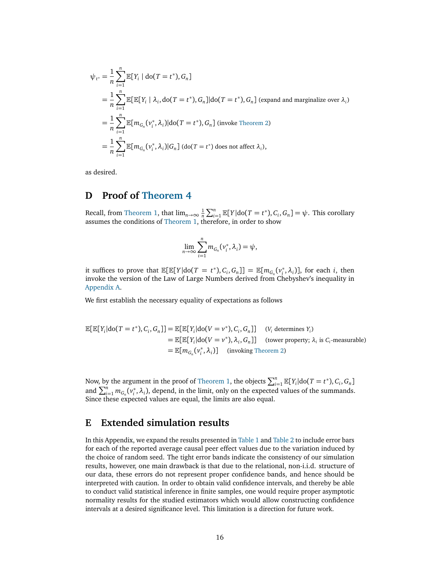$$
\psi_{t^*} = \frac{1}{n} \sum_{i=1}^n \mathbb{E}[Y_i | \text{do}(T = t^*), G_n]
$$
  
\n
$$
= \frac{1}{n} \sum_{i=1}^n \mathbb{E}[\mathbb{E}[Y_i | \lambda_i, \text{do}(T = t^*), G_n] | \text{do}(T = t^*), G_n] \text{ (expand and marginalize over } \lambda_i)
$$
  
\n
$$
= \frac{1}{n} \sum_{i=1}^n \mathbb{E}[m_{G_n}(v_i^*, \lambda_i)] | \text{do}(T = t^*), G_n] \text{ (invoke Theorem 2)}
$$
  
\n
$$
= \frac{1}{n} \sum_{i=1}^n \mathbb{E}[m_{G_n}(v_i^*, \lambda_i)|G_n] \text{ (do}(T = t^*) \text{ does not affect } \lambda_i),
$$

as desired.

## <span id="page-15-0"></span>**D Proof of [Theorem 4](#page-4-3)**

Recall, from [Theorem 1,](#page-3-0) that  $\lim_{n\to\infty} \frac{1}{n} \sum_{i=1}^n \mathbb{E}[Y | \text{do}(T = t^*), C_i, G_n] = \psi$ . This corollary assumes the conditions of [Theorem 1,](#page-3-0) therefore, in order to show

$$
\lim_{n\to\infty}\sum_{i=1}^n m_{G_n}(v_i^*,\lambda_i)=\psi,
$$

it suffices to prove that  $\mathbb{E}[\mathbb{E}[Y|\text{do}(T = t^*), C_i, G_n]] = \mathbb{E}[m_{G_n}(v_i^*)]$  $\left[ \alpha_i^*, \lambda_i \right]$ ], for each *i*, then invoke the version of the Law of Large Numbers derived from Chebyshev's inequality in [Appendix A.](#page-13-0)

We first establish the necessary equality of expectations as follows

$$
\mathbb{E}[\mathbb{E}[Y_i|\text{do}(T = t^*), C_i, G_n]] = \mathbb{E}[\mathbb{E}[Y_i|\text{do}(V = v^*), C_i, G_n]] \quad (V_i \text{ determines } Y_i)
$$
\n
$$
= \mathbb{E}[\mathbb{E}[Y_i|\text{do}(V = v^*), \lambda_i, G_n]] \quad \text{(tower property; } \lambda_i \text{ is } C_i\text{-measurable)}
$$
\n
$$
= \mathbb{E}[m_{G_n}(v_i^*, \lambda_i)] \quad \text{(involking Theorem 2)}
$$

Now, by the argument in the proof of [Theorem 1,](#page-3-0) the objects  $\sum_{i=1}^{n} \mathbb{E}[Y_i] \text{d} \text{o} (T = t^*)$ ,  $C_i$ ,  $G_n$ ] and  $\sum_{i=1}^{n} m_{G_n}(v_i^*)$  $_i^*, \lambda_i$ ), depend, in the limit, only on the expected values of the summands. Since these expected values are equal, the limits are also equal.

## <span id="page-15-1"></span>**E Extended simulation results**

In this Appendix, we expand the results presented in [Table 1](#page-7-1) and [Table 2](#page-9-0) to include error bars for each of the reported average causal peer effect values due to the variation induced by the choice of random seed. The tight error bands indicate the consistency of our simulation results, however, one main drawback is that due to the relational, non-i.i.d. structure of our data, these errors do not represent proper confidence bands, and hence should be interpreted with caution. In order to obtain valid confidence intervals, and thereby be able to conduct valid statistical inference in finite samples, one would require proper asymptotic normality results for the studied estimators which would allow constructing confidence intervals at a desired significance level. This limitation is a direction for future work.